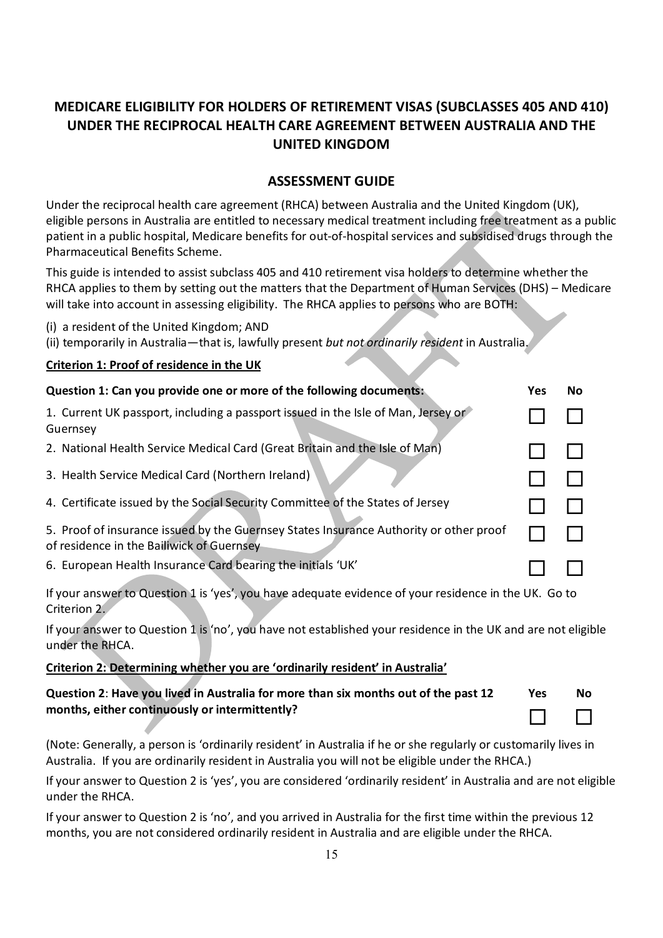# **MEDICARE ELIGIBILITY FOR HOLDERS OF RETIREMENT VISAS (SUBCLASSES 405 AND 410) UNDER THE RECIPROCAL HEALTH CARE AGREEMENT BETWEEN AUSTRALIA AND THE UNITED KINGDOM**

## **ASSESSMENT GUIDE**

Under the reciprocal health care agreement (RHCA) between Australia and the United Kingdom (UK), eligible persons in Australia are entitled to necessary medical treatment including free treatment as a public patient in a public hospital, Medicare benefits for out-of-hospital services and subsidised drugs through the Pharmaceutical Benefits Scheme.

This guide is intended to assist subclass 405 and 410 retirement visa holders to determine whether the RHCA applies to them by setting out the matters that the Department of Human Services (DHS) – Medicare will take into account in assessing eligibility. The RHCA applies to persons who are BOTH:

- (i) a resident of the United Kingdom; AND
- (ii) temporarily in Australia—that is, lawfully present *but not ordinarily resident* in Australia.

### **Criterion 1: Proof of residence in the UK**

| Question 1: Can you provide one or more of the following documents:                                                                 |  | No |
|-------------------------------------------------------------------------------------------------------------------------------------|--|----|
| 1. Current UK passport, including a passport issued in the Isle of Man, Jersey or<br>Guernsey                                       |  |    |
| 2. National Health Service Medical Card (Great Britain and the Isle of Man)                                                         |  |    |
| 3. Health Service Medical Card (Northern Ireland)                                                                                   |  |    |
| 4. Certificate issued by the Social Security Committee of the States of Jersey                                                      |  |    |
| 5. Proof of insurance issued by the Guernsey States Insurance Authority or other proof<br>of residence in the Bailiwick of Guernsey |  |    |
| 6. European Health Insurance Card bearing the initials 'UK'                                                                         |  |    |

If your answer to Question 1 is 'yes', you have adequate evidence of your residence in the UK. Go to Criterion 2.

If your answer to Question 1 is 'no', you have not established your residence in the UK and are not eligible under the RHCA.

## **Criterion 2: Determining whether you are 'ordinarily resident' in Australia'**

| Question 2: Have you lived in Australia for more than six months out of the past 12 | <b>Yes</b> | No     |
|-------------------------------------------------------------------------------------|------------|--------|
| months, either continuously or intermittently?                                      |            | $\Box$ |

(Note: Generally, a person is 'ordinarily resident' in Australia if he or she regularly or customarily lives in Australia. If you are ordinarily resident in Australia you will not be eligible under the RHCA.)

If your answer to Question 2 is 'yes', you are considered 'ordinarily resident' in Australia and are not eligible under the RHCA.

If your answer to Question 2 is 'no', and you arrived in Australia for the first time within the previous 12 months, you are not considered ordinarily resident in Australia and are eligible under the RHCA.